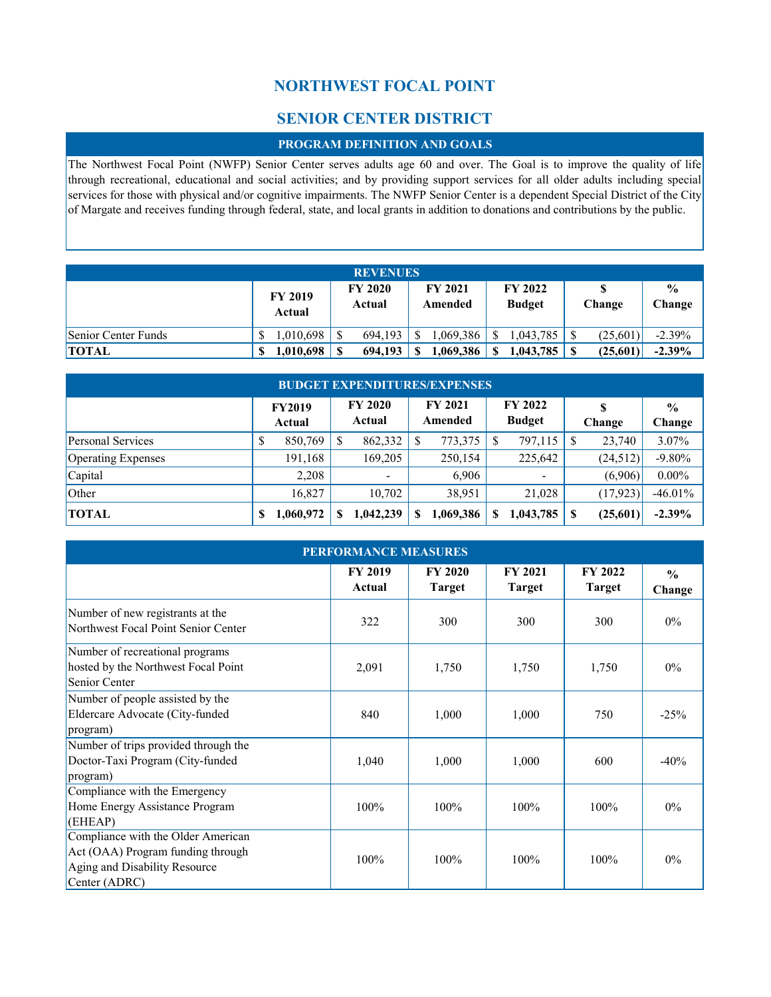# **NORTHWEST FOCAL POINT**

# **SENIOR CENTER DISTRICT**

### **PROGRAM DEFINITION AND GOALS**

The Northwest Focal Point (NWFP) Senior Center serves adults age 60 and over. The Goal is to improve the quality of life through recreational, educational and social activities; and by providing support services for all older adults including special services for those with physical and/or cognitive impairments. The NWFP Senior Center is a dependent Special District of the City of Margate and receives funding through federal, state, and local grants in addition to donations and contributions by the public.

| <b>REVENUES</b>     |                          |                          |                           |                                 |          |                         |  |  |  |
|---------------------|--------------------------|--------------------------|---------------------------|---------------------------------|----------|-------------------------|--|--|--|
|                     | <b>FY 2019</b><br>Actual | <b>FY 2020</b><br>Actual | <b>FY 2021</b><br>Amended | <b>FY 2022</b><br><b>Budget</b> | Change   | $\frac{0}{0}$<br>Change |  |  |  |
| Senior Center Funds | 1.010.698                | 694.193                  | .069.386                  | .043.785                        | (25,601) | $-2.39%$                |  |  |  |
| <b>TOTAL</b>        | 1,010,698                | 694.193                  | 1,069,386<br>S            | 1,043,785                       | (25,601) | $-2.39\%$               |  |  |  |

| <b>BUDGET EXPENDITURES/EXPENSES</b> |   |                         |    |                          |   |                           |   |                                 |    |           |                         |
|-------------------------------------|---|-------------------------|----|--------------------------|---|---------------------------|---|---------------------------------|----|-----------|-------------------------|
|                                     |   | <b>FY2019</b><br>Actual |    | <b>FY 2020</b><br>Actual |   | <b>FY 2021</b><br>Amended |   | <b>FY 2022</b><br><b>Budget</b> |    | Change    | $\frac{0}{0}$<br>Change |
| Personal Services                   | D | 850,769                 | S  | 862,332                  | S | 773,375                   | S | 797,115                         |    | 23,740    | 3.07%                   |
| Operating Expenses                  |   | 191,168                 |    | 169,205                  |   | 250,154                   |   | 225,642                         |    | (24,512)  | $-9.80%$                |
| Capital                             |   | 2.208                   |    |                          |   | 6,906                     |   | -                               |    | (6,906)   | $0.00\%$                |
| Other                               |   | 16,827                  |    | 10.702                   |   | 38,951                    |   | 21,028                          |    | (17, 923) | $-46.01%$               |
| <b>TOTAL</b>                        |   | 1,060,972               | \$ | 1,042,239                | S | 1,069,386                 | S | 1,043,785                       | -8 | (25,601)  | $-2.39%$                |

| <b>PERFORMANCE MEASURES</b>                                                                                               |                          |                                 |                                 |                                 |                         |  |  |  |  |  |
|---------------------------------------------------------------------------------------------------------------------------|--------------------------|---------------------------------|---------------------------------|---------------------------------|-------------------------|--|--|--|--|--|
|                                                                                                                           | <b>FY 2019</b><br>Actual | <b>FY 2020</b><br><b>Target</b> | <b>FY 2021</b><br><b>Target</b> | <b>FY 2022</b><br><b>Target</b> | $\frac{0}{0}$<br>Change |  |  |  |  |  |
| Number of new registrants at the<br>Northwest Focal Point Senior Center                                                   | 322                      | 300                             | 300                             | 300                             | $0\%$                   |  |  |  |  |  |
| Number of recreational programs<br>hosted by the Northwest Focal Point<br>Senior Center                                   | 2,091                    | 1,750                           | 1,750                           | 1,750                           | $0\%$                   |  |  |  |  |  |
| Number of people assisted by the<br>Eldercare Advocate (City-funded<br>program)                                           | 840                      | 1,000                           | 1,000                           | 750                             | $-25%$                  |  |  |  |  |  |
| Number of trips provided through the<br>Doctor-Taxi Program (City-funded<br>program)                                      | 1,040                    | 1,000                           | 1,000                           | 600                             | $-40\%$                 |  |  |  |  |  |
| Compliance with the Emergency<br>Home Energy Assistance Program<br>(EHEAP)                                                | 100%                     | 100%                            | 100%                            | 100%                            | $0\%$                   |  |  |  |  |  |
| Compliance with the Older American<br>Act (OAA) Program funding through<br>Aging and Disability Resource<br>Center (ADRC) | 100%                     | 100%                            | 100%                            | 100%                            | $0\%$                   |  |  |  |  |  |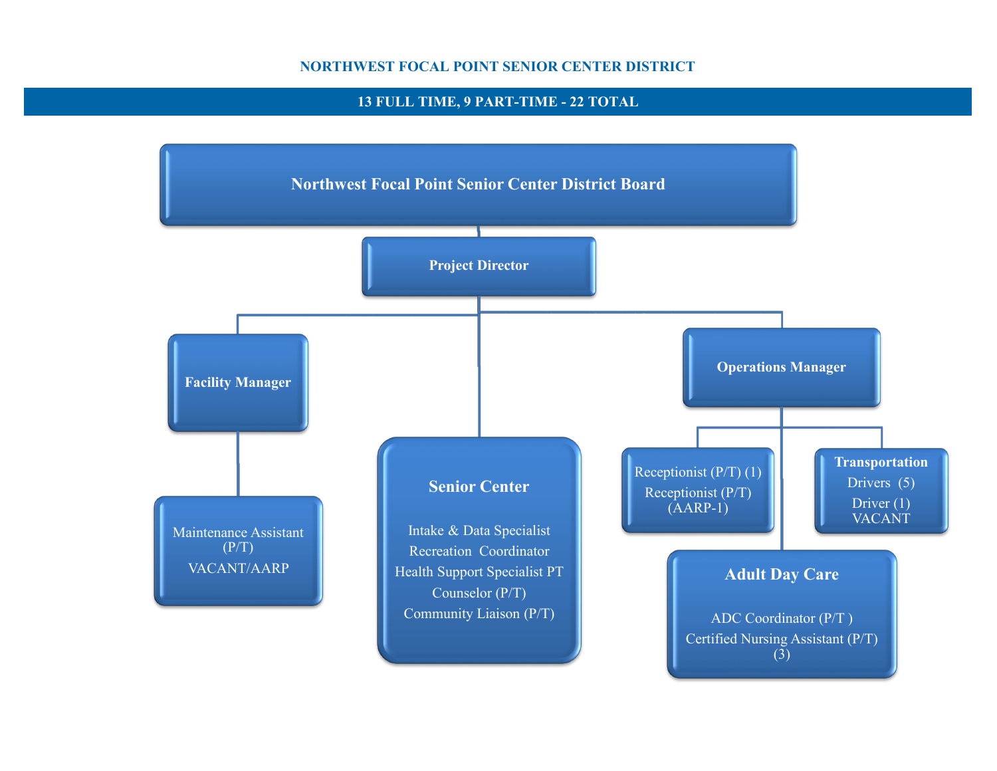### **NORTHWEST FOCAL POINT SENIOR CENTER DISTRICT**

# **13 FULL TIME, 9 PART-TIME - 22 TOTAL**

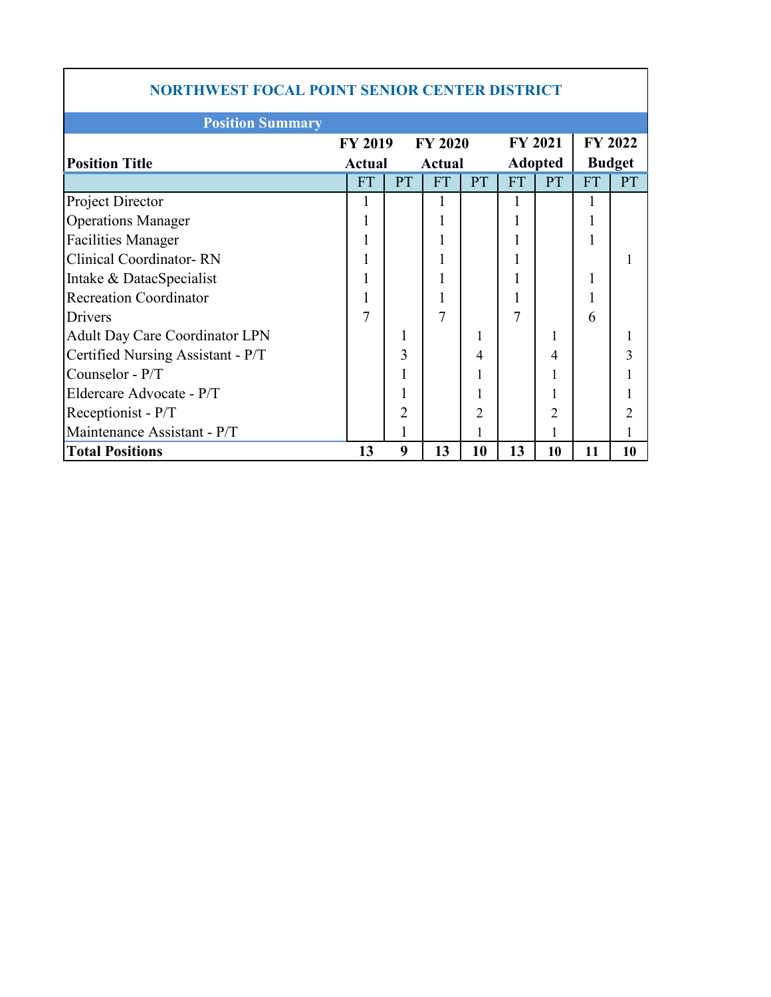| <b>NORTHWEST FOCAL POINT SENIOR CENTER DISTRICT</b> |                                |                |                |    |           |                |               |                |  |  |  |
|-----------------------------------------------------|--------------------------------|----------------|----------------|----|-----------|----------------|---------------|----------------|--|--|--|
| <b>Position Summary</b>                             |                                |                |                |    |           |                |               |                |  |  |  |
|                                                     | <b>FY 2019</b>                 |                | <b>FY 2020</b> |    |           | <b>FY 2021</b> |               | <b>FY 2022</b> |  |  |  |
| <b>Position Title</b>                               | <b>Actual</b><br><b>Actual</b> |                |                |    |           | <b>Adopted</b> | <b>Budget</b> |                |  |  |  |
|                                                     | <b>FT</b>                      | <b>PT</b>      | <b>FT</b>      | PT | <b>FT</b> | PT             | <b>FT</b>     | <b>PT</b>      |  |  |  |
| Project Director                                    |                                |                | 1              |    |           |                |               |                |  |  |  |
| <b>Operations Manager</b>                           |                                |                | 1              |    |           |                |               |                |  |  |  |
| <b>Facilities Manager</b>                           |                                |                | 1              |    |           |                |               |                |  |  |  |
| <b>Clinical Coordinator-RN</b>                      |                                |                | 1              |    |           |                |               |                |  |  |  |
| Intake & DatacSpecialist                            |                                |                |                |    |           |                |               |                |  |  |  |
| <b>Recreation Coordinator</b>                       |                                |                | 1              |    |           |                |               |                |  |  |  |
| Drivers                                             | 7                              |                | $\tau$         |    | 7         |                | 6             |                |  |  |  |
| <b>Adult Day Care Coordinator LPN</b>               |                                | 1              |                | 1  |           |                |               |                |  |  |  |
| Certified Nursing Assistant - P/T                   |                                | 3              |                | 4  |           | 4              |               |                |  |  |  |
| Counselor - P/T                                     |                                |                |                |    |           |                |               |                |  |  |  |
| Eldercare Advocate - P/T                            |                                |                |                |    |           |                |               |                |  |  |  |
| Receptionist - P/T                                  |                                | $\overline{2}$ |                | 2  |           |                |               |                |  |  |  |
| Maintenance Assistant - P/T                         |                                |                |                |    |           |                |               |                |  |  |  |
| <b>Total Positions</b>                              | 13                             | 9              | 13             | 10 | 13        | 10             | 11            | 10             |  |  |  |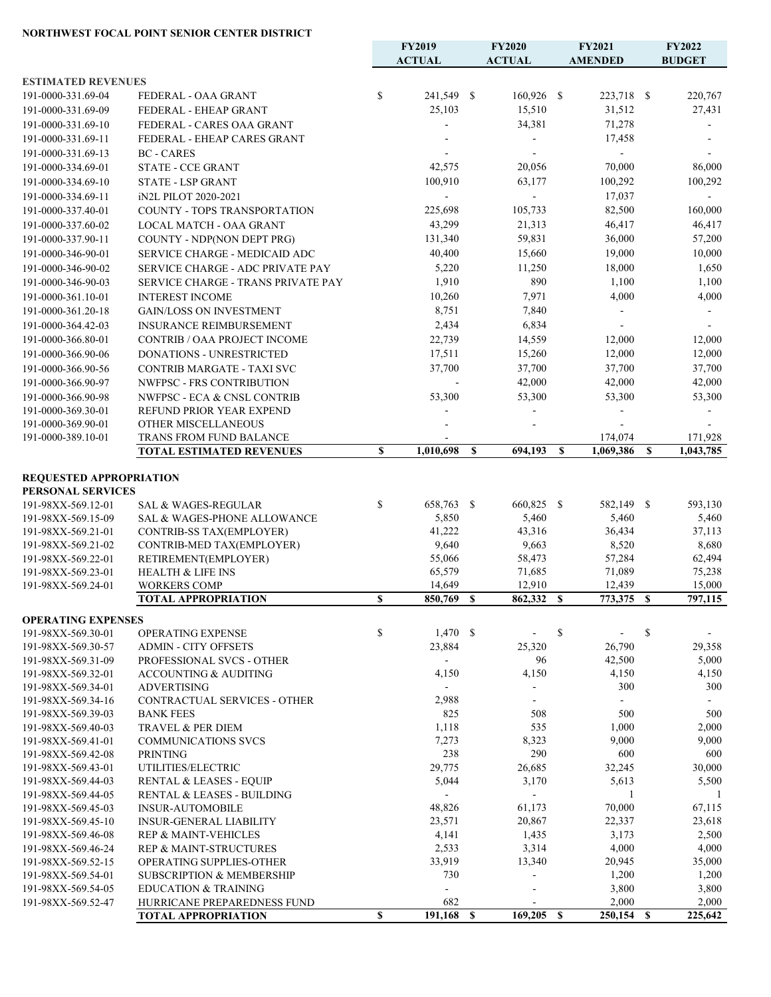### **NORTHWEST FOCAL POINT SENIOR CENTER DISTRICT**

|                                          |                                                                      |    | FY2019               |   | <b>FY2020</b><br>FY2021 |             |                             |              | FY2022           |
|------------------------------------------|----------------------------------------------------------------------|----|----------------------|---|-------------------------|-------------|-----------------------------|--------------|------------------|
|                                          |                                                                      |    | <b>ACTUAL</b>        |   | <b>ACTUAL</b>           |             | <b>AMENDED</b>              |              | <b>BUDGET</b>    |
| <b>ESTIMATED REVENUES</b>                |                                                                      |    |                      |   |                         |             |                             |              |                  |
| 191-0000-331.69-04                       | FEDERAL - OAA GRANT                                                  | \$ | 241,549 \$           |   | 160,926 \$              |             | 223,718 \$                  |              | 220,767          |
| 191-0000-331.69-09                       | FEDERAL - EHEAP GRANT                                                |    | 25,103               |   | 15,510                  |             | 31,512                      |              | 27,431           |
| 191-0000-331.69-10                       | FEDERAL - CARES OAA GRANT                                            |    |                      |   | 34,381                  |             | 71,278                      |              |                  |
| 191-0000-331.69-11                       | FEDERAL - EHEAP CARES GRANT                                          |    |                      |   |                         |             | 17,458                      |              |                  |
| 191-0000-331.69-13                       | <b>BC</b> - CARES                                                    |    |                      |   |                         |             | $\mathcal{L}_{\mathcal{A}}$ |              |                  |
| 191-0000-334.69-01                       | STATE - CCE GRANT                                                    |    | 42,575               |   | 20,056                  |             | 70,000                      |              | 86,000           |
| 191-0000-334.69-10                       | <b>STATE - LSP GRANT</b>                                             |    | 100,910              |   | 63,177                  |             | 100,292                     |              | 100,292          |
| 191-0000-334.69-11                       | iN2L PILOT 2020-2021                                                 |    | $\blacksquare$       |   | $\blacksquare$          |             | 17,037                      |              |                  |
| 191-0000-337.40-01                       | COUNTY - TOPS TRANSPORTATION                                         |    | 225,698              |   | 105,733                 |             | 82,500                      |              | 160,000          |
| 191-0000-337.60-02                       | LOCAL MATCH - OAA GRANT                                              |    | 43,299               |   | 21,313                  |             | 46,417                      |              | 46,417           |
| 191-0000-337.90-11                       | COUNTY - NDP(NON DEPT PRG)                                           |    | 131,340              |   | 59,831                  |             | 36,000                      |              | 57,200           |
| 191-0000-346-90-01                       | <b>SERVICE CHARGE - MEDICAID ADC</b>                                 |    | 40,400               |   | 15,660                  |             | 19,000                      |              | 10,000           |
| 191-0000-346-90-02                       | SERVICE CHARGE - ADC PRIVATE PAY                                     |    | 5,220                |   | 11,250                  |             | 18,000                      |              | 1,650            |
| 191-0000-346-90-03                       | SERVICE CHARGE - TRANS PRIVATE PAY                                   |    | 1,910                |   | 890                     |             | 1,100                       |              | 1,100            |
| 191-0000-361.10-01                       | <b>INTEREST INCOME</b>                                               |    | 10,260               |   | 7,971                   |             | 4,000                       |              | 4,000            |
| 191-0000-361.20-18                       | <b>GAIN/LOSS ON INVESTMENT</b>                                       |    | 8,751                |   | 7,840                   |             |                             |              |                  |
| 191-0000-364.42-03                       | <b>INSURANCE REIMBURSEMENT</b>                                       |    | 2,434                |   | 6,834                   |             | $\blacksquare$              |              |                  |
| 191-0000-366.80-01                       | CONTRIB / OAA PROJECT INCOME                                         |    | 22,739               |   | 14,559                  |             | 12,000                      |              | 12,000           |
| 191-0000-366.90-06                       | DONATIONS - UNRESTRICTED                                             |    | 17,511               |   | 15,260                  |             | 12,000                      |              | 12,000           |
| 191-0000-366.90-56                       | <b>CONTRIB MARGATE - TAXI SVC</b>                                    |    | 37,700               |   | 37,700                  |             | 37,700                      |              | 37,700           |
| 191-0000-366.90-97                       | NWFPSC - FRS CONTRIBUTION                                            |    |                      |   | 42,000                  |             | 42,000                      |              | 42,000           |
| 191-0000-366.90-98                       | NWFPSC - ECA & CNSL CONTRIB                                          |    | 53,300               |   | 53,300                  |             | 53,300                      |              | 53,300           |
| 191-0000-369.30-01                       | REFUND PRIOR YEAR EXPEND                                             |    |                      |   |                         |             |                             |              |                  |
| 191-0000-369.90-01                       | OTHER MISCELLANEOUS                                                  |    |                      |   |                         |             |                             |              |                  |
| 191-0000-389.10-01                       | TRANS FROM FUND BALANCE                                              |    | 1,010,698            |   | 694,193                 | S           | 174,074<br>1,069,386        | $\mathbf{s}$ | 171,928          |
|                                          | <b>TOTAL ESTIMATED REVENUES</b>                                      | S  |                      | S |                         |             |                             |              | 1,043,785        |
| <b>REQUESTED APPROPRIATION</b>           |                                                                      |    |                      |   |                         |             |                             |              |                  |
| PERSONAL SERVICES                        |                                                                      |    |                      |   |                         |             |                             |              |                  |
| 191-98XX-569.12-01                       | <b>SAL &amp; WAGES-REGULAR</b>                                       | \$ | 658,763 \$           |   | 660,825 \$              |             | 582,149 \$                  |              | 593,130          |
| 191-98XX-569.15-09                       | <b>SAL &amp; WAGES-PHONE ALLOWANCE</b>                               |    | 5,850                |   | 5,460                   |             | 5,460                       |              | 5,460            |
| 191-98XX-569.21-01                       | CONTRIB-SS TAX(EMPLOYER)                                             |    | 41,222               |   | 43,316                  |             | 36,434                      |              | 37,113           |
| 191-98XX-569.21-02                       | CONTRIB-MED TAX(EMPLOYER)                                            |    | 9,640                |   | 9,663                   |             | 8,520                       |              | 8,680            |
| 191-98XX-569.22-01                       | RETIREMENT(EMPLOYER)                                                 |    | 55,066<br>65,579     |   | 58,473<br>71,685        |             | 57,284<br>71,089            |              | 62,494           |
| 191-98XX-569.23-01<br>191-98XX-569.24-01 | <b>HEALTH &amp; LIFE INS</b><br><b>WORKERS COMP</b>                  |    | 14,649               |   | 12,910                  |             | 12,439                      |              | 75,238<br>15,000 |
|                                          | <b>TOTAL APPROPRIATION</b>                                           | \$ | 850,769 \$           |   | 862,332 \$              |             | 773,375 \$                  |              | 797,115          |
|                                          |                                                                      |    |                      |   |                         |             |                             |              |                  |
| <b>OPERATING EXPENSES</b>                |                                                                      |    |                      |   |                         |             |                             |              |                  |
| 191-98XX-569.30-01                       | <b>OPERATING EXPENSE</b>                                             | \$ | $1,470$ \$<br>23,884 |   | 25,320                  | \$          | 26,790                      | \$           |                  |
| 191-98XX-569.30-57<br>191-98XX-569.31-09 | <b>ADMIN - CITY OFFSETS</b><br>PROFESSIONAL SVCS - OTHER             |    | $\blacksquare$       |   | 96                      |             | 42,500                      |              | 29,358<br>5,000  |
| 191-98XX-569.32-01                       | ACCOUNTING & AUDITING                                                |    | 4,150                |   | 4,150                   |             | 4,150                       |              | 4,150            |
| 191-98XX-569.34-01                       | <b>ADVERTISING</b>                                                   |    | $\blacksquare$       |   |                         |             | 300                         |              | 300              |
| 191-98XX-569.34-16                       | CONTRACTUAL SERVICES - OTHER                                         |    | 2,988                |   | $\blacksquare$          |             | $\overline{a}$              |              | $\sim$           |
| 191-98XX-569.39-03                       | <b>BANK FEES</b>                                                     |    | 825                  |   | 508                     |             | 500                         |              | 500              |
| 191-98XX-569.40-03                       | TRAVEL & PER DIEM                                                    |    | 1,118                |   | 535                     |             | 1,000                       |              | 2,000            |
| 191-98XX-569.41-01                       | <b>COMMUNICATIONS SVCS</b>                                           |    | 7,273                |   | 8,323                   |             | 9,000                       |              | 9,000            |
| 191-98XX-569.42-08                       | <b>PRINTING</b>                                                      |    | 238                  |   | 290                     |             | 600                         |              | 600              |
| 191-98XX-569.43-01                       | UTILITIES/ELECTRIC                                                   |    | 29,775               |   | 26,685                  |             | 32,245                      |              | 30,000           |
| 191-98XX-569.44-03                       | RENTAL & LEASES - EQUIP                                              |    | 5,044                |   | 3,170                   |             | 5,613                       |              | 5,500            |
| 191-98XX-569.44-05                       | RENTAL & LEASES - BUILDING                                           |    | $\blacksquare$       |   | ÷.                      |             | -1                          |              | -1               |
| 191-98XX-569.45-03                       | <b>INSUR-AUTOMOBILE</b>                                              |    | 48,826               |   | 61,173                  |             | 70,000                      |              | 67,115           |
| 191-98XX-569.45-10                       | <b>INSUR-GENERAL LIABILITY</b>                                       |    | 23,571               |   | 20,867                  |             | 22,337                      |              | 23,618           |
| 191-98XX-569.46-08<br>191-98XX-569.46-24 | <b>REP &amp; MAINT-VEHICLES</b><br><b>REP &amp; MAINT-STRUCTURES</b> |    | 4,141<br>2,533       |   | 1,435<br>3,314          |             | 3,173<br>4,000              |              | 2,500<br>4,000   |
| 191-98XX-569.52-15                       | OPERATING SUPPLIES-OTHER                                             |    | 33,919               |   | 13,340                  |             | 20,945                      |              | 35,000           |
| 191-98XX-569.54-01                       | <b>SUBSCRIPTION &amp; MEMBERSHIP</b>                                 |    | 730                  |   | $\overline{a}$          |             | 1,200                       |              | 1,200            |
| 191-98XX-569.54-05                       | <b>EDUCATION &amp; TRAINING</b>                                      |    | $\mathbf{r}$         |   |                         |             | 3,800                       |              | 3,800            |
| 191-98XX-569.52-47                       | HURRICANE PREPAREDNESS FUND                                          |    | 682                  |   |                         |             | 2,000                       |              | 2,000            |
|                                          | <b>TOTAL APPROPRIATION</b>                                           | \$ | 191,168 \$           |   | 169,205                 | $\mathbf S$ | 250,154                     | <b>S</b>     | 225,642          |